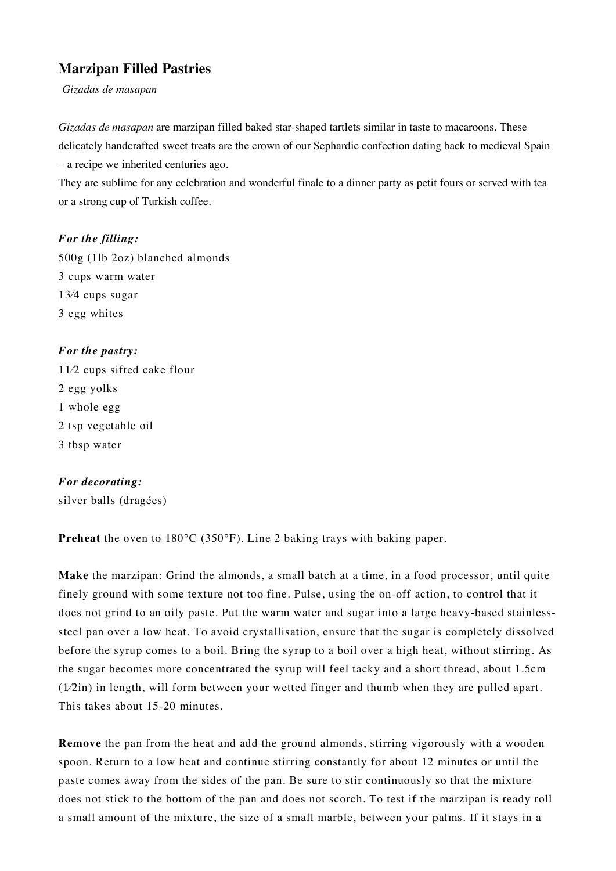## **Marzipan Filled Pastries**

*Gizadas de masapan*

*Gizadas de masapan* are marzipan filled baked star-shaped tartlets similar in taste to macaroons. These delicately handcrafted sweet treats are the crown of our Sephardic confection dating back to medieval Spain – a recipe we inherited centuries ago.

They are sublime for any celebration and wonderful finale to a dinner party as petit fours or served with tea or a strong cup of Turkish coffee.

## *For the filling:*

500g (1lb 2oz) blanched almonds 3 cups warm water 13⁄4 cups sugar 3 egg whites

*For the pastry:*  11⁄2 cups sifted cake flour 2 egg yolks 1 whole egg 2 tsp vegetable oil 3 tbsp water

## *For decorating:*

silver balls (dragées)

**Preheat** the oven to 180°C (350°F). Line 2 baking trays with baking paper.

**Make** the marzipan: Grind the almonds, a small batch at a time, in a food processor, until quite finely ground with some texture not too fine. Pulse, using the on-off action, to control that it does not grind to an oily paste. Put the warm water and sugar into a large heavy-based stainlesssteel pan over a low heat. To avoid crystallisation, ensure that the sugar is completely dissolved before the syrup comes to a boil. Bring the syrup to a boil over a high heat, without stirring. As the sugar becomes more concentrated the syrup will feel tacky and a short thread, about 1.5cm (1⁄2in) in length, will form between your wetted finger and thumb when they are pulled apart. This takes about 15-20 minutes.

**Remove** the pan from the heat and add the ground almonds, stirring vigorously with a wooden spoon. Return to a low heat and continue stirring constantly for about 12 minutes or until the paste comes away from the sides of the pan. Be sure to stir continuously so that the mixture does not stick to the bottom of the pan and does not scorch. To test if the marzipan is ready roll a small amount of the mixture, the size of a small marble, between your palms. If it stays in a